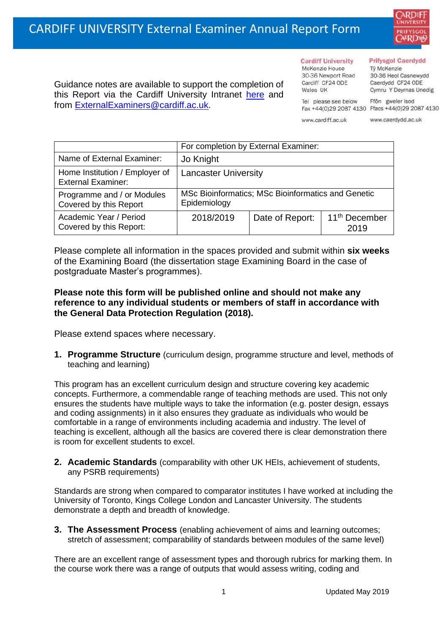

Guidance notes are available to support the completion of this Report via the Cardiff University Intranet [here](https://intranet.cardiff.ac.uk/staff/teaching-and-supporting-students/exams-and-assessment/exam-boards-and-external-examiners/for-current-external-examiners/external-examiners-reports) and from [ExternalExaminers@cardiff.ac.uk.](mailto:ExternalExaminers@cardiff.ac.uk)

**Cardiff University** McKenzie House 30-36 Newport Road Cardiff CF24 ODE

## **Prifysgol Caerdydd**

Từ McKenzie 30-36 Heol Casnewydd Caerdydd CF24 ODE Cymru Y Deyrnas Unedig

Ffôn gweler isod Fax +44(0)29 2087 4130 Ffacs +44(0)29 2087 4130

www.cardiff.ac.uk

Tel please see below

Wales IIK

www.caerdydd.ac.uk

|                                                             | For completion by External Examiner:                               |                 |                                   |  |  |
|-------------------------------------------------------------|--------------------------------------------------------------------|-----------------|-----------------------------------|--|--|
| Name of External Examiner:                                  | Jo Knight                                                          |                 |                                   |  |  |
| Home Institution / Employer of<br><b>External Examiner:</b> | <b>Lancaster University</b>                                        |                 |                                   |  |  |
| Programme and / or Modules<br>Covered by this Report        | MSc Bioinformatics; MSc Bioinformatics and Genetic<br>Epidemiology |                 |                                   |  |  |
| Academic Year / Period<br>Covered by this Report:           | 2018/2019                                                          | Date of Report: | 11 <sup>th</sup> December<br>2019 |  |  |

Please complete all information in the spaces provided and submit within **six weeks** of the Examining Board (the dissertation stage Examining Board in the case of postgraduate Master's programmes).

## **Please note this form will be published online and should not make any reference to any individual students or members of staff in accordance with the General Data Protection Regulation (2018).**

Please extend spaces where necessary.

**1. Programme Structure** (curriculum design, programme structure and level, methods of teaching and learning)

This program has an excellent curriculum design and structure covering key academic concepts. Furthermore, a commendable range of teaching methods are used. This not only ensures the students have multiple ways to take the information (e.g. poster design, essays and coding assignments) in it also ensures they graduate as individuals who would be comfortable in a range of environments including academia and industry. The level of teaching is excellent, although all the basics are covered there is clear demonstration there is room for excellent students to excel.

**2. Academic Standards** (comparability with other UK HEIs, achievement of students, any PSRB requirements)

Standards are strong when compared to comparator institutes I have worked at including the University of Toronto, Kings College London and Lancaster University. The students demonstrate a depth and breadth of knowledge.

**3. The Assessment Process** (enabling achievement of aims and learning outcomes; stretch of assessment; comparability of standards between modules of the same level)

There are an excellent range of assessment types and thorough rubrics for marking them. In the course work there was a range of outputs that would assess writing, coding and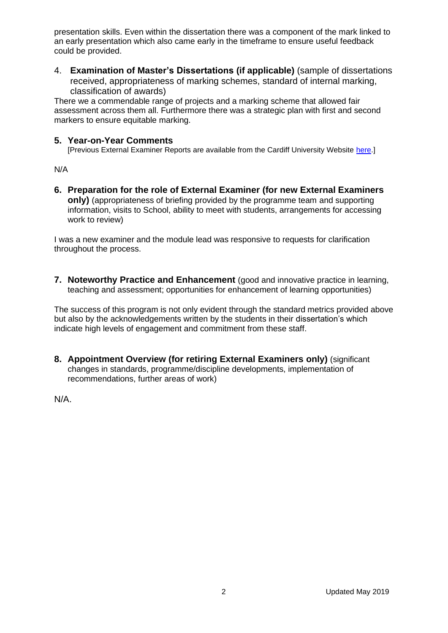presentation skills. Even within the dissertation there was a component of the mark linked to an early presentation which also came early in the timeframe to ensure useful feedback could be provided.

4. **Examination of Master's Dissertations (if applicable)** (sample of dissertations received, appropriateness of marking schemes, standard of internal marking, classification of awards)

There we a commendable range of projects and a marking scheme that allowed fair assessment across them all. Furthermore there was a strategic plan with first and second markers to ensure equitable marking.

## **5. Year-on-Year Comments**

[Previous External Examiner Reports are available from the Cardiff University Website [here.](https://www.cardiff.ac.uk/public-information/quality-and-standards/external-examiner-reports)]

N/A

**6. Preparation for the role of External Examiner (for new External Examiners only)** (appropriateness of briefing provided by the programme team and supporting information, visits to School, ability to meet with students, arrangements for accessing work to review)

I was a new examiner and the module lead was responsive to requests for clarification throughout the process.

**7. Noteworthy Practice and Enhancement** (good and innovative practice in learning, teaching and assessment; opportunities for enhancement of learning opportunities)

The success of this program is not only evident through the standard metrics provided above but also by the acknowledgements written by the students in their dissertation's which indicate high levels of engagement and commitment from these staff.

**8. Appointment Overview (for retiring External Examiners only)** (significant changes in standards, programme/discipline developments, implementation of recommendations, further areas of work)

N/A.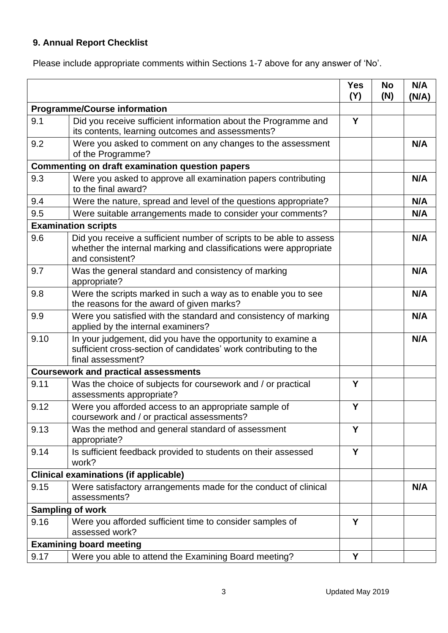## **9. Annual Report Checklist**

Please include appropriate comments within Sections 1-7 above for any answer of 'No'.

|                                                        |                                                                                                                                                             | <b>Yes</b><br>(Y) | <b>No</b><br>(N) | N/A<br>(N/A) |
|--------------------------------------------------------|-------------------------------------------------------------------------------------------------------------------------------------------------------------|-------------------|------------------|--------------|
| <b>Programme/Course information</b>                    |                                                                                                                                                             |                   |                  |              |
| 9.1                                                    | Did you receive sufficient information about the Programme and<br>its contents, learning outcomes and assessments?                                          | Y                 |                  |              |
| 9.2                                                    | Were you asked to comment on any changes to the assessment<br>of the Programme?                                                                             |                   |                  | N/A          |
| <b>Commenting on draft examination question papers</b> |                                                                                                                                                             |                   |                  |              |
| 9.3                                                    | Were you asked to approve all examination papers contributing<br>to the final award?                                                                        |                   |                  | N/A          |
| 9.4                                                    | Were the nature, spread and level of the questions appropriate?                                                                                             |                   |                  | N/A          |
| 9.5                                                    | Were suitable arrangements made to consider your comments?                                                                                                  |                   |                  | N/A          |
|                                                        | <b>Examination scripts</b>                                                                                                                                  |                   |                  |              |
| 9.6                                                    | Did you receive a sufficient number of scripts to be able to assess<br>whether the internal marking and classifications were appropriate<br>and consistent? |                   |                  | N/A          |
| 9.7                                                    | Was the general standard and consistency of marking<br>appropriate?                                                                                         |                   |                  | N/A          |
| 9.8                                                    | Were the scripts marked in such a way as to enable you to see<br>the reasons for the award of given marks?                                                  |                   |                  | N/A          |
| 9.9                                                    | Were you satisfied with the standard and consistency of marking<br>applied by the internal examiners?                                                       |                   |                  | N/A          |
| 9.10                                                   | In your judgement, did you have the opportunity to examine a<br>sufficient cross-section of candidates' work contributing to the<br>final assessment?       |                   |                  | N/A          |
| <b>Coursework and practical assessments</b>            |                                                                                                                                                             |                   |                  |              |
| 9.11                                                   | Was the choice of subjects for coursework and / or practical<br>assessments appropriate?                                                                    | Y                 |                  |              |
| 9.12                                                   | Were you afforded access to an appropriate sample of<br>coursework and / or practical assessments?                                                          | Y                 |                  |              |
| 9.13                                                   | Was the method and general standard of assessment<br>appropriate?                                                                                           | Y                 |                  |              |
| 9.14                                                   | Is sufficient feedback provided to students on their assessed<br>work?                                                                                      | Y                 |                  |              |
|                                                        | <b>Clinical examinations (if applicable)</b>                                                                                                                |                   |                  |              |
| 9.15                                                   | Were satisfactory arrangements made for the conduct of clinical<br>assessments?                                                                             |                   |                  | N/A          |
| <b>Sampling of work</b>                                |                                                                                                                                                             |                   |                  |              |
| 9.16                                                   | Were you afforded sufficient time to consider samples of<br>assessed work?                                                                                  | Y                 |                  |              |
|                                                        | <b>Examining board meeting</b>                                                                                                                              |                   |                  |              |
| 9.17                                                   | Were you able to attend the Examining Board meeting?                                                                                                        | Y                 |                  |              |